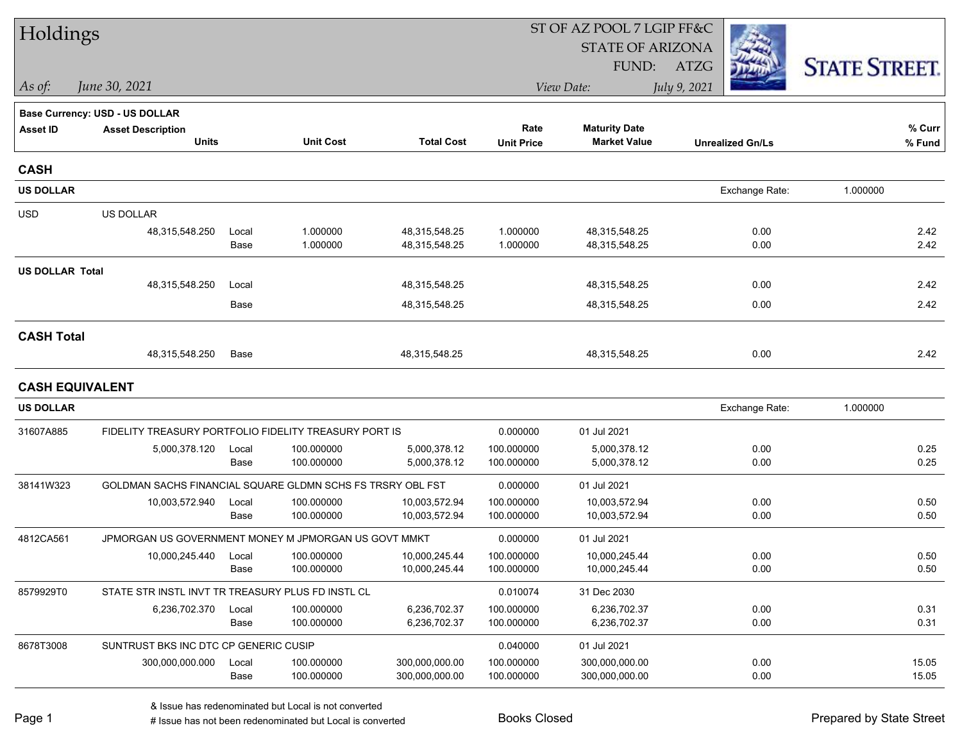| Holdings               |                                                            |               |                          |                                |                           | ST OF AZ POOL 7 LGIP FF&C                   |                         |                      |
|------------------------|------------------------------------------------------------|---------------|--------------------------|--------------------------------|---------------------------|---------------------------------------------|-------------------------|----------------------|
|                        |                                                            |               |                          |                                |                           | <b>STATE OF ARIZONA</b>                     |                         |                      |
|                        |                                                            |               |                          |                                |                           | FUND:                                       | ATZG                    | <b>STATE STREET.</b> |
| As of:                 | June 30, 2021                                              |               |                          |                                |                           | View Date:                                  | July 9, 2021            |                      |
|                        | <b>Base Currency: USD - US DOLLAR</b>                      |               |                          |                                |                           |                                             |                         |                      |
| <b>Asset ID</b>        | <b>Asset Description</b><br>Units                          |               | <b>Unit Cost</b>         | <b>Total Cost</b>              | Rate<br><b>Unit Price</b> | <b>Maturity Date</b><br><b>Market Value</b> | <b>Unrealized Gn/Ls</b> | % Curr<br>% Fund     |
|                        |                                                            |               |                          |                                |                           |                                             |                         |                      |
| <b>CASH</b>            |                                                            |               |                          |                                |                           |                                             |                         |                      |
| <b>US DOLLAR</b>       |                                                            |               |                          |                                |                           |                                             | Exchange Rate:          | 1.000000             |
| <b>USD</b>             | <b>US DOLLAR</b>                                           |               |                          |                                |                           |                                             |                         |                      |
|                        | 48,315,548.250                                             | Local         | 1.000000                 | 48,315,548.25                  | 1.000000                  | 48,315,548.25                               | 0.00                    | 2.42                 |
|                        |                                                            | Base          | 1.000000                 | 48,315,548.25                  | 1.000000                  | 48,315,548.25                               | 0.00                    | 2.42                 |
| <b>US DOLLAR Total</b> |                                                            |               |                          |                                |                           |                                             |                         |                      |
|                        | 48,315,548.250                                             | Local         |                          | 48,315,548.25                  |                           | 48,315,548.25                               | 0.00                    | 2.42                 |
|                        |                                                            | Base          |                          | 48,315,548.25                  |                           | 48,315,548.25                               | 0.00                    | 2.42                 |
| <b>CASH Total</b>      |                                                            |               |                          |                                |                           |                                             |                         |                      |
|                        | 48,315,548.250                                             | Base          |                          | 48,315,548.25                  |                           | 48,315,548.25                               | 0.00                    | 2.42                 |
|                        | <b>CASH EQUIVALENT</b>                                     |               |                          |                                |                           |                                             |                         |                      |
| <b>US DOLLAR</b>       |                                                            |               |                          |                                |                           |                                             | Exchange Rate:          | 1.000000             |
| 31607A885              | FIDELITY TREASURY PORTFOLIO FIDELITY TREASURY PORT IS      |               |                          |                                | 0.000000                  | 01 Jul 2021                                 |                         |                      |
|                        | 5,000,378.120                                              | Local         | 100.000000               | 5,000,378.12                   | 100.000000                | 5,000,378.12                                | 0.00                    | 0.25                 |
|                        |                                                            | Base          | 100.000000               | 5,000,378.12                   | 100.000000                | 5,000,378.12                                | 0.00                    | 0.25                 |
| 38141W323              | GOLDMAN SACHS FINANCIAL SQUARE GLDMN SCHS FS TRSRY OBL FST |               |                          |                                | 0.000000                  | 01 Jul 2021                                 |                         |                      |
|                        | 10,003,572.940                                             | Local         | 100.000000               | 10,003,572.94                  | 100.000000                | 10,003,572.94                               | 0.00                    | 0.50                 |
|                        |                                                            | Base          | 100.000000               | 10,003,572.94                  | 100.000000                | 10,003,572.94                               | 0.00                    | 0.50                 |
| 4812CA561              | JPMORGAN US GOVERNMENT MONEY M JPMORGAN US GOVT MMKT       |               |                          |                                | 0.000000                  | 01 Jul 2021                                 |                         |                      |
|                        | 10,000,245.440                                             | Local<br>Base | 100.000000<br>100.000000 | 10,000,245.44<br>10,000,245.44 | 100.000000<br>100.000000  | 10,000,245.44<br>10,000,245.44              | 0.00<br>0.00            | 0.50<br>0.50         |
| 8579929T0              | STATE STR INSTL INVT TR TREASURY PLUS FD INSTL CL          |               |                          |                                | 0.010074                  | 31 Dec 2030                                 |                         |                      |
|                        | 6,236,702.370                                              | Local         | 100.000000               | 6,236,702.37                   | 100.000000                | 6,236,702.37                                | 0.00                    | 0.31                 |
|                        |                                                            | Base          | 100.000000               | 6,236,702.37                   | 100.000000                | 6,236,702.37                                | 0.00                    | 0.31                 |
| 8678T3008              | SUNTRUST BKS INC DTC CP GENERIC CUSIP                      |               |                          |                                | 0.040000                  | 01 Jul 2021                                 |                         |                      |
|                        | 300,000,000.000                                            | Local         | 100.000000               | 300,000,000.00                 | 100.000000                | 300,000,000.00                              | 0.00                    | 15.05                |
|                        |                                                            | Base          | 100.000000               | 300,000,000.00                 | 100.000000                | 300,000,000.00                              | 0.00                    | 15.05                |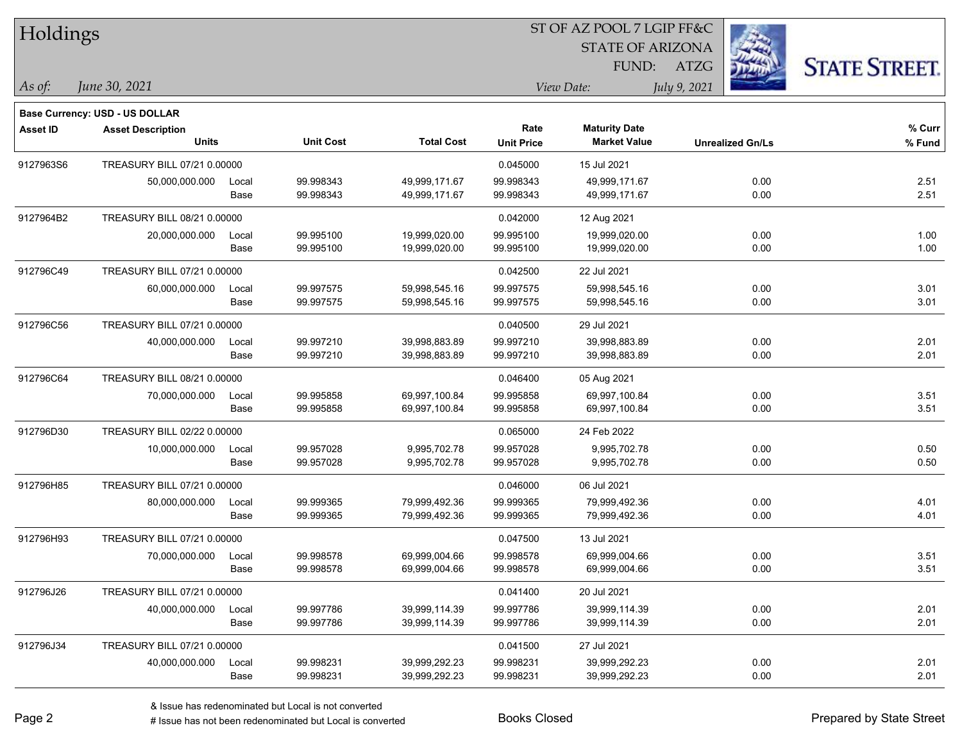| Holdings        |                                       |       |                  |                   |                   | ST OF AZ POOL 7 LGIP FF&C |                         |                      |
|-----------------|---------------------------------------|-------|------------------|-------------------|-------------------|---------------------------|-------------------------|----------------------|
|                 |                                       |       |                  |                   |                   | <b>STATE OF ARIZONA</b>   |                         |                      |
|                 |                                       |       |                  |                   |                   | FUND:                     | <b>ATZG</b>             | <b>STATE STREET.</b> |
| $\vert$ As of:  | June 30, 2021                         |       |                  |                   |                   | View Date:                | July 9, 2021            |                      |
|                 | <b>Base Currency: USD - US DOLLAR</b> |       |                  |                   |                   |                           |                         |                      |
| <b>Asset ID</b> | <b>Asset Description</b>              |       |                  |                   | Rate              | <b>Maturity Date</b>      |                         | % Curr               |
|                 | <b>Units</b>                          |       | <b>Unit Cost</b> | <b>Total Cost</b> | <b>Unit Price</b> | <b>Market Value</b>       | <b>Unrealized Gn/Ls</b> | % Fund               |
| 9127963S6       | TREASURY BILL 07/21 0.00000           |       |                  |                   | 0.045000          | 15 Jul 2021               |                         |                      |
|                 | 50,000,000.000                        | Local | 99.998343        | 49,999,171.67     | 99.998343         | 49,999,171.67             | 0.00                    | 2.51                 |
|                 |                                       | Base  | 99.998343        | 49,999,171.67     | 99.998343         | 49,999,171.67             | 0.00                    | 2.51                 |
| 9127964B2       | TREASURY BILL 08/21 0.00000           |       |                  |                   | 0.042000          | 12 Aug 2021               |                         |                      |
|                 | 20,000,000.000                        | Local | 99.995100        | 19,999,020.00     | 99.995100         | 19,999,020.00             | 0.00                    | 1.00                 |
|                 |                                       | Base  | 99.995100        | 19,999,020.00     | 99.995100         | 19,999,020.00             | 0.00                    | 1.00                 |
| 912796C49       | TREASURY BILL 07/21 0.00000           |       |                  |                   | 0.042500          | 22 Jul 2021               |                         |                      |
|                 | 60,000,000.000                        | Local | 99.997575        | 59,998,545.16     | 99.997575         | 59,998,545.16             | 0.00                    | 3.01                 |
|                 |                                       | Base  | 99.997575        | 59,998,545.16     | 99.997575         | 59,998,545.16             | 0.00                    | 3.01                 |
| 912796C56       | TREASURY BILL 07/21 0.00000           |       |                  |                   | 0.040500          | 29 Jul 2021               |                         |                      |
|                 | 40,000,000.000                        | Local | 99.997210        | 39,998,883.89     | 99.997210         | 39,998,883.89             | 0.00                    | 2.01                 |
|                 |                                       | Base  | 99.997210        | 39,998,883.89     | 99.997210         | 39,998,883.89             | 0.00                    | 2.01                 |
| 912796C64       | TREASURY BILL 08/21 0.00000           |       |                  |                   | 0.046400          | 05 Aug 2021               |                         |                      |
|                 | 70,000,000.000                        | Local | 99.995858        | 69,997,100.84     | 99.995858         | 69,997,100.84             | 0.00                    | 3.51                 |
|                 |                                       | Base  | 99.995858        | 69,997,100.84     | 99.995858         | 69,997,100.84             | 0.00                    | 3.51                 |
| 912796D30       | TREASURY BILL 02/22 0.00000           |       |                  |                   | 0.065000          | 24 Feb 2022               |                         |                      |
|                 | 10,000,000.000                        | Local | 99.957028        | 9,995,702.78      | 99.957028         | 9,995,702.78              | 0.00                    | 0.50                 |
|                 |                                       | Base  | 99.957028        | 9,995,702.78      | 99.957028         | 9,995,702.78              | 0.00                    | 0.50                 |
| 912796H85       | TREASURY BILL 07/21 0.00000           |       |                  |                   | 0.046000          | 06 Jul 2021               |                         |                      |
|                 | 80,000,000.000                        | Local | 99.999365        | 79,999,492.36     | 99.999365         | 79,999,492.36             | 0.00                    | 4.01                 |
|                 |                                       | Base  | 99.999365        | 79,999,492.36     | 99.999365         | 79,999,492.36             | 0.00                    | 4.01                 |
| 912796H93       | TREASURY BILL 07/21 0.00000           |       |                  |                   | 0.047500          | 13 Jul 2021               |                         |                      |
|                 | 70,000,000.000                        | Local | 99.998578        | 69.999.004.66     | 99.998578         | 69,999,004.66             | 0.00                    | 3.51                 |
|                 |                                       | Base  | 99.998578        | 69,999,004.66     | 99.998578         | 69,999,004.66             | 0.00                    | 3.51                 |
| 912796J26       | TREASURY BILL 07/21 0.00000           |       |                  |                   | 0.041400          | 20 Jul 2021               |                         |                      |
|                 | 40,000,000.000                        | Local | 99.997786        | 39,999,114.39     | 99.997786         | 39,999,114.39             | 0.00                    | 2.01                 |
|                 |                                       | Base  | 99.997786        | 39,999,114.39     | 99.997786         | 39,999,114.39             | 0.00                    | 2.01                 |
| 912796J34       | TREASURY BILL 07/21 0.00000           |       |                  |                   | 0.041500          | 27 Jul 2021               |                         |                      |
|                 | 40,000,000.000                        | Local | 99.998231        | 39,999,292.23     | 99.998231         | 39,999,292.23             | 0.00                    | 2.01                 |
|                 |                                       | Base  | 99.998231        | 39,999,292.23     | 99.998231         | 39,999,292.23             | 0.00                    | 2.01                 |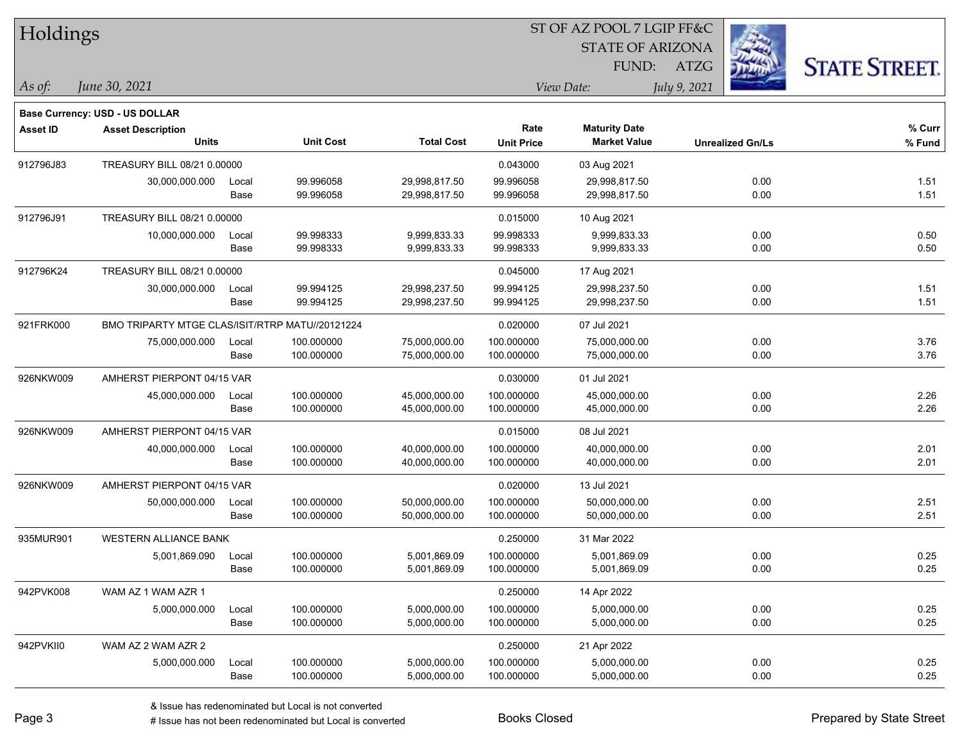| Holdings        |                                                 |       |                  |                   | ST OF AZ POOL 7 LGIP FF&C |                         |              |                         |                      |
|-----------------|-------------------------------------------------|-------|------------------|-------------------|---------------------------|-------------------------|--------------|-------------------------|----------------------|
|                 |                                                 |       |                  |                   |                           | <b>STATE OF ARIZONA</b> |              |                         |                      |
|                 |                                                 |       |                  |                   |                           | FUND:                   | ATZG         |                         | <b>STATE STREET.</b> |
| $\vert$ As of:  | June 30, 2021                                   |       |                  |                   |                           | View Date:              | July 9, 2021 |                         |                      |
|                 | Base Currency: USD - US DOLLAR                  |       |                  |                   |                           |                         |              |                         |                      |
| <b>Asset ID</b> | <b>Asset Description</b>                        |       |                  |                   | Rate                      | <b>Maturity Date</b>    |              |                         | % Curr               |
|                 | <b>Units</b>                                    |       | <b>Unit Cost</b> | <b>Total Cost</b> | <b>Unit Price</b>         | <b>Market Value</b>     |              | <b>Unrealized Gn/Ls</b> | % Fund               |
| 912796J83       | TREASURY BILL 08/21 0.00000                     |       |                  |                   | 0.043000                  | 03 Aug 2021             |              |                         |                      |
|                 | 30,000,000.000                                  | Local | 99.996058        | 29,998,817.50     | 99.996058                 | 29,998,817.50           |              | 0.00                    | 1.51                 |
|                 |                                                 | Base  | 99.996058        | 29,998,817.50     | 99.996058                 | 29,998,817.50           |              | 0.00                    | 1.51                 |
| 912796J91       | TREASURY BILL 08/21 0.00000                     |       |                  |                   | 0.015000                  | 10 Aug 2021             |              |                         |                      |
|                 | 10,000,000.000                                  | Local | 99.998333        | 9,999,833.33      | 99.998333                 | 9,999,833.33            |              | 0.00                    | 0.50                 |
|                 |                                                 | Base  | 99.998333        | 9,999,833.33      | 99.998333                 | 9,999,833.33            |              | 0.00                    | 0.50                 |
| 912796K24       | TREASURY BILL 08/21 0.00000                     |       |                  |                   | 0.045000                  | 17 Aug 2021             |              |                         |                      |
|                 | 30,000,000.000                                  | Local | 99.994125        | 29,998,237.50     | 99.994125                 | 29,998,237.50           |              | 0.00                    | 1.51                 |
|                 |                                                 | Base  | 99.994125        | 29,998,237.50     | 99.994125                 | 29,998,237.50           |              | 0.00                    | 1.51                 |
| 921FRK000       | BMO TRIPARTY MTGE CLAS/ISIT/RTRP MATU//20121224 |       |                  |                   | 0.020000                  | 07 Jul 2021             |              |                         |                      |
|                 | 75,000,000.000                                  | Local | 100.000000       | 75,000,000.00     | 100.000000                | 75,000,000.00           |              | 0.00                    | 3.76                 |
|                 |                                                 | Base  | 100.000000       | 75,000,000.00     | 100.000000                | 75,000,000.00           |              | 0.00                    | 3.76                 |
| 926NKW009       | AMHERST PIERPONT 04/15 VAR                      |       |                  |                   | 0.030000                  | 01 Jul 2021             |              |                         |                      |
|                 | 45,000,000.000                                  | Local | 100.000000       | 45,000,000.00     | 100.000000                | 45,000,000.00           |              | 0.00                    | 2.26                 |
|                 |                                                 | Base  | 100.000000       | 45,000,000.00     | 100.000000                | 45,000,000.00           |              | 0.00                    | 2.26                 |
| 926NKW009       | AMHERST PIERPONT 04/15 VAR                      |       |                  |                   | 0.015000                  | 08 Jul 2021             |              |                         |                      |
|                 | 40,000,000.000                                  | Local | 100.000000       | 40,000,000.00     | 100.000000                | 40,000,000.00           |              | 0.00                    | 2.01                 |
|                 |                                                 | Base  | 100.000000       | 40,000,000.00     | 100.000000                | 40,000,000.00           |              | 0.00                    | 2.01                 |
| 926NKW009       | AMHERST PIERPONT 04/15 VAR                      |       |                  |                   | 0.020000                  | 13 Jul 2021             |              |                         |                      |
|                 | 50,000,000.000                                  | Local | 100.000000       | 50,000,000.00     | 100.000000                | 50,000,000.00           |              | 0.00                    | 2.51                 |
|                 |                                                 | Base  | 100.000000       | 50,000,000.00     | 100.000000                | 50,000,000.00           |              | 0.00                    | 2.51                 |
| 935MUR901       | <b>WESTERN ALLIANCE BANK</b>                    |       |                  |                   | 0.250000                  | 31 Mar 2022             |              |                         |                      |
|                 | 5,001,869.090                                   | Local | 100.000000       | 5,001,869.09      | 100.000000                | 5,001,869.09            |              | 0.00                    | 0.25                 |
|                 |                                                 | Base  | 100.000000       | 5,001,869.09      | 100.000000                | 5,001,869.09            |              | 0.00                    | 0.25                 |
| 942PVK008       | WAM AZ 1 WAM AZR 1                              |       |                  |                   | 0.250000                  | 14 Apr 2022             |              |                         |                      |
|                 | 5,000,000.000                                   | Local | 100.000000       | 5,000,000.00      | 100.000000                | 5,000,000.00            |              | 0.00                    | 0.25                 |
|                 |                                                 | Base  | 100.000000       | 5,000,000.00      | 100.000000                | 5,000,000.00            |              | 0.00                    | 0.25                 |
| 942PVKII0       | WAM AZ 2 WAM AZR 2                              |       |                  |                   | 0.250000                  | 21 Apr 2022             |              |                         |                      |
|                 | 5,000,000.000                                   | Local | 100.000000       | 5,000,000.00      | 100.000000                | 5,000,000.00            |              | 0.00                    | 0.25                 |
|                 |                                                 | Base  | 100.000000       | 5,000,000.00      | 100.000000                | 5,000,000.00            |              | 0.00                    | 0.25                 |

# Issue has not been redenominated but Local is converted Books Closed Prepared by State Street

٦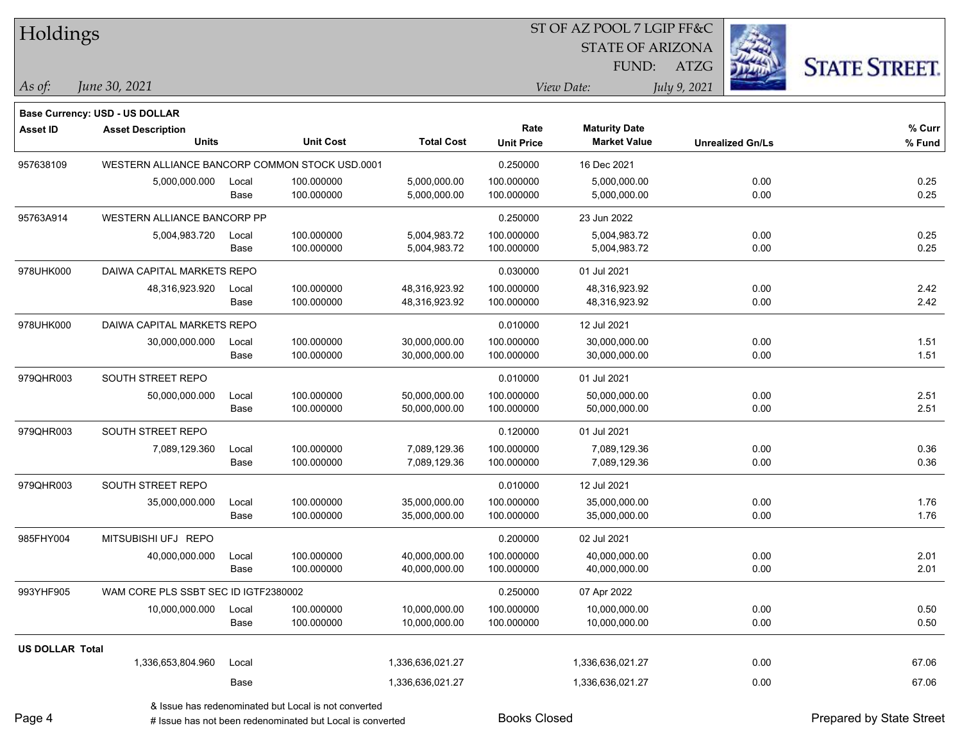| Holdings               |                                                |       |                  |                   |                   | ST OF AZ POOL 7 LGIP FF&C |              |                         |                      |
|------------------------|------------------------------------------------|-------|------------------|-------------------|-------------------|---------------------------|--------------|-------------------------|----------------------|
|                        |                                                |       |                  |                   |                   | <b>STATE OF ARIZONA</b>   |              |                         |                      |
|                        |                                                |       |                  |                   |                   | FUND:                     | ATZG         |                         | <b>STATE STREET.</b> |
| As of:                 | June 30, 2021                                  |       |                  |                   |                   | View Date:                | July 9, 2021 |                         |                      |
|                        | Base Currency: USD - US DOLLAR                 |       |                  |                   |                   |                           |              |                         |                      |
| <b>Asset ID</b>        | <b>Asset Description</b>                       |       |                  |                   | Rate              | <b>Maturity Date</b>      |              |                         | % Curr               |
|                        | <b>Units</b>                                   |       | <b>Unit Cost</b> | <b>Total Cost</b> | <b>Unit Price</b> | <b>Market Value</b>       |              | <b>Unrealized Gn/Ls</b> | % Fund               |
| 957638109              | WESTERN ALLIANCE BANCORP COMMON STOCK USD.0001 |       |                  |                   | 0.250000          | 16 Dec 2021               |              |                         |                      |
|                        | 5,000,000.000                                  | Local | 100.000000       | 5,000,000.00      | 100.000000        | 5,000,000.00              |              | 0.00                    | 0.25                 |
|                        |                                                | Base  | 100.000000       | 5,000,000.00      | 100.000000        | 5,000,000.00              |              | 0.00                    | 0.25                 |
| 95763A914              | WESTERN ALLIANCE BANCORP PP                    |       |                  |                   | 0.250000          | 23 Jun 2022               |              |                         |                      |
|                        | 5,004,983.720                                  | Local | 100.000000       | 5,004,983.72      | 100.000000        | 5,004,983.72              |              | 0.00                    | 0.25                 |
|                        |                                                | Base  | 100.000000       | 5,004,983.72      | 100.000000        | 5,004,983.72              |              | 0.00                    | 0.25                 |
| 978UHK000              | DAIWA CAPITAL MARKETS REPO                     |       |                  |                   | 0.030000          | 01 Jul 2021               |              |                         |                      |
|                        | 48,316,923.920                                 | Local | 100.000000       | 48,316,923.92     | 100.000000        | 48,316,923.92             |              | 0.00                    | 2.42                 |
|                        |                                                | Base  | 100.000000       | 48,316,923.92     | 100.000000        | 48,316,923.92             |              | 0.00                    | 2.42                 |
| 978UHK000              | DAIWA CAPITAL MARKETS REPO                     |       |                  |                   | 0.010000          | 12 Jul 2021               |              |                         |                      |
|                        | 30,000,000.000                                 | Local | 100.000000       | 30,000,000.00     | 100.000000        | 30,000,000.00             |              | 0.00                    | 1.51                 |
|                        |                                                | Base  | 100.000000       | 30,000,000.00     | 100.000000        | 30,000,000.00             |              | 0.00                    | 1.51                 |
| 979QHR003              | SOUTH STREET REPO                              |       |                  |                   | 0.010000          | 01 Jul 2021               |              |                         |                      |
|                        | 50,000,000.000                                 | Local | 100.000000       | 50,000,000.00     | 100.000000        | 50,000,000.00             |              | 0.00                    | 2.51                 |
|                        |                                                | Base  | 100.000000       | 50,000,000.00     | 100.000000        | 50,000,000.00             |              | 0.00                    | 2.51                 |
| 979QHR003              | SOUTH STREET REPO                              |       |                  |                   | 0.120000          | 01 Jul 2021               |              |                         |                      |
|                        | 7,089,129.360                                  | Local | 100.000000       | 7,089,129.36      | 100.000000        | 7,089,129.36              |              | 0.00                    | 0.36                 |
|                        |                                                | Base  | 100.000000       | 7,089,129.36      | 100.000000        | 7,089,129.36              |              | 0.00                    | 0.36                 |
| 979QHR003              | SOUTH STREET REPO                              |       |                  |                   | 0.010000          | 12 Jul 2021               |              |                         |                      |
|                        | 35,000,000.000                                 | Local | 100.000000       | 35,000,000.00     | 100.000000        | 35,000,000.00             |              | 0.00                    | 1.76                 |
|                        |                                                | Base  | 100.000000       | 35,000,000.00     | 100.000000        | 35,000,000.00             |              | 0.00                    | 1.76                 |
| 985FHY004              | MITSUBISHI UFJ REPO                            |       |                  |                   | 0.200000          | 02 Jul 2021               |              |                         |                      |
|                        | 40,000,000.000                                 | Local | 100.000000       | 40,000,000.00     | 100.000000        | 40,000,000.00             |              | 0.00                    | 2.01                 |
|                        |                                                | Base  | 100.000000       | 40,000,000.00     | 100.000000        | 40,000,000.00             |              | 0.00                    | 2.01                 |
| 993YHF905              | WAM CORE PLS SSBT SEC ID IGTF2380002           |       |                  |                   | 0.250000          | 07 Apr 2022               |              |                         |                      |
|                        | 10,000,000.000                                 | Local | 100.000000       | 10,000,000.00     | 100.000000        | 10,000,000.00             |              | 0.00                    | 0.50                 |
|                        |                                                | Base  | 100.000000       | 10,000,000.00     | 100.000000        | 10,000,000.00             |              | 0.00                    | 0.50                 |
| <b>US DOLLAR Total</b> |                                                |       |                  |                   |                   |                           |              |                         |                      |
|                        | 1,336,653,804.960                              | Local |                  | 1,336,636,021.27  |                   | 1,336,636,021.27          |              | 0.00                    | 67.06                |
|                        |                                                | Base  |                  | 1,336,636,021.27  |                   | 1,336,636,021.27          |              | 0.00                    | 67.06                |
|                        |                                                |       |                  |                   |                   |                           |              |                         |                      |

& Issue has redenominated but Local is not converted

Page 4

# Issue has not been redenominated but Local is converted Books Closed Prepared by State Street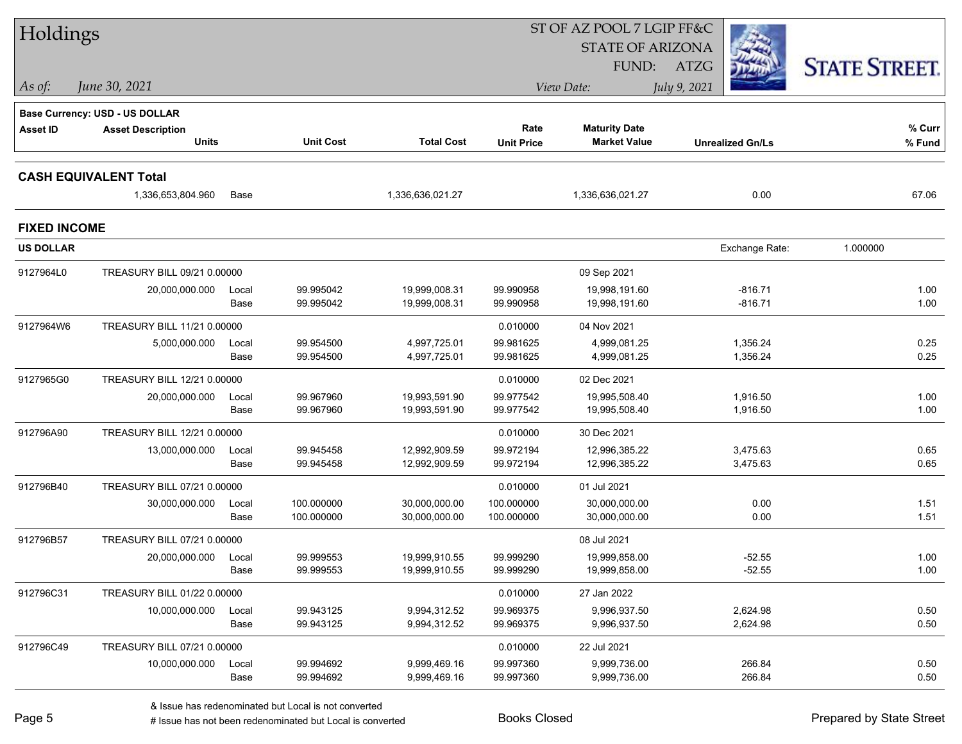| Holdings            |                                |               |                          |                                |                          | ST OF AZ POOL 7 LGIP FF&C      |                         |                      |
|---------------------|--------------------------------|---------------|--------------------------|--------------------------------|--------------------------|--------------------------------|-------------------------|----------------------|
|                     |                                |               |                          |                                |                          | <b>STATE OF ARIZONA</b>        |                         |                      |
|                     |                                |               |                          |                                |                          | FUND:                          | ATZG                    | <b>STATE STREET.</b> |
| As of:              | June 30, 2021                  |               |                          |                                |                          | View Date:                     | July 9, 2021            |                      |
|                     | Base Currency: USD - US DOLLAR |               |                          |                                |                          |                                |                         |                      |
| <b>Asset ID</b>     | <b>Asset Description</b>       |               |                          |                                | Rate                     | <b>Maturity Date</b>           |                         | $%$ Curr             |
|                     | <b>Units</b>                   |               | <b>Unit Cost</b>         | <b>Total Cost</b>              | <b>Unit Price</b>        | <b>Market Value</b>            | <b>Unrealized Gn/Ls</b> | % Fund               |
|                     | <b>CASH EQUIVALENT Total</b>   |               |                          |                                |                          |                                |                         |                      |
|                     | 1,336,653,804.960              | Base          |                          | 1,336,636,021.27               |                          | 1,336,636,021.27               | 0.00                    | 67.06                |
| <b>FIXED INCOME</b> |                                |               |                          |                                |                          |                                |                         |                      |
| <b>US DOLLAR</b>    |                                |               |                          |                                |                          |                                | Exchange Rate:          | 1.000000             |
| 9127964L0           | TREASURY BILL 09/21 0.00000    |               |                          |                                |                          | 09 Sep 2021                    |                         |                      |
|                     | 20,000,000.000                 | Local         | 99.995042                | 19,999,008.31                  | 99.990958                | 19,998,191.60                  | $-816.71$               | 1.00                 |
|                     |                                | Base          | 99.995042                | 19,999,008.31                  | 99.990958                | 19,998,191.60                  | $-816.71$               | 1.00                 |
| 9127964W6           | TREASURY BILL 11/21 0.00000    |               |                          |                                | 0.010000                 | 04 Nov 2021                    |                         |                      |
|                     | 5,000,000.000                  | Local         | 99.954500                | 4,997,725.01                   | 99.981625                | 4,999,081.25                   | 1,356.24                | 0.25                 |
|                     |                                | Base          | 99.954500                | 4,997,725.01                   | 99.981625                | 4,999,081.25                   | 1,356.24                | 0.25                 |
| 9127965G0           | TREASURY BILL 12/21 0.00000    |               |                          |                                | 0.010000                 | 02 Dec 2021                    |                         |                      |
|                     | 20,000,000.000                 | Local<br>Base | 99.967960<br>99.967960   | 19,993,591.90<br>19,993,591.90 | 99.977542<br>99.977542   | 19,995,508.40<br>19,995,508.40 | 1,916.50<br>1,916.50    | 1.00<br>1.00         |
|                     |                                |               |                          |                                |                          |                                |                         |                      |
| 912796A90           | TREASURY BILL 12/21 0.00000    |               |                          |                                | 0.010000                 | 30 Dec 2021                    |                         |                      |
|                     | 13,000,000.000                 | Local<br>Base | 99.945458<br>99.945458   | 12,992,909.59<br>12,992,909.59 | 99.972194<br>99.972194   | 12,996,385.22<br>12,996,385.22 | 3,475.63<br>3,475.63    | 0.65<br>0.65         |
|                     |                                |               |                          |                                |                          |                                |                         |                      |
| 912796B40           | TREASURY BILL 07/21 0.00000    |               |                          |                                | 0.010000                 | 01 Jul 2021                    |                         |                      |
|                     | 30,000,000.000                 | Local<br>Base | 100.000000<br>100.000000 | 30,000,000.00                  | 100.000000<br>100.000000 | 30,000,000.00                  | 0.00<br>0.00            | 1.51<br>1.51         |
|                     |                                |               |                          | 30,000,000.00                  |                          | 30,000,000.00                  |                         |                      |
| 912796B57           | TREASURY BILL 07/21 0.00000    |               |                          |                                |                          | 08 Jul 2021                    |                         |                      |
|                     | 20,000,000.000                 | Local<br>Base | 99.999553<br>99.999553   | 19,999,910.55<br>19,999,910.55 | 99.999290<br>99.999290   | 19,999,858.00<br>19,999,858.00 | -52.55<br>$-52.55$      | 1.00<br>1.00         |
| 912796C31           | TREASURY BILL 01/22 0.00000    |               |                          |                                | 0.010000                 | 27 Jan 2022                    |                         |                      |
|                     | 10,000,000.000                 | Local         | 99.943125                | 9,994,312.52                   | 99.969375                | 9,996,937.50                   | 2,624.98                | 0.50                 |
|                     |                                | Base          | 99.943125                | 9,994,312.52                   | 99.969375                | 9,996,937.50                   | 2,624.98                | 0.50                 |
| 912796C49           | TREASURY BILL 07/21 0.00000    |               |                          |                                | 0.010000                 | 22 Jul 2021                    |                         |                      |
|                     | 10,000,000.000                 | Local         | 99.994692                | 9,999,469.16                   | 99.997360                | 9,999,736.00                   | 266.84                  | 0.50                 |
|                     |                                | Base          | 99.994692                | 9,999,469.16                   | 99.997360                | 9,999,736.00                   | 266.84                  | 0.50                 |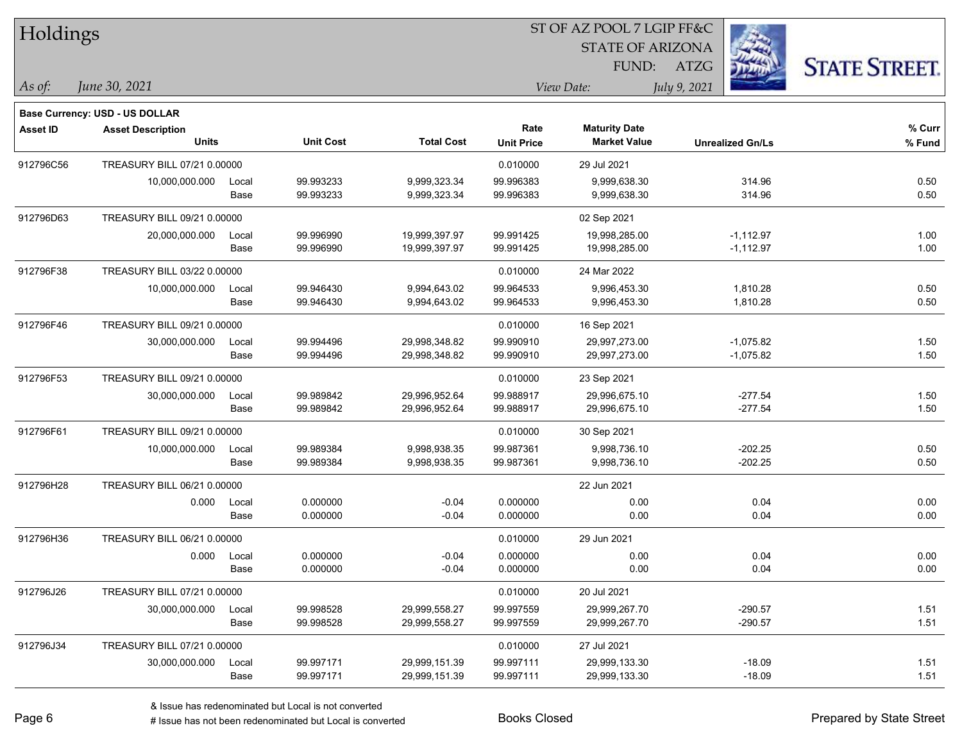| Holdings       |                                |       |                  |                   |                   | ST OF AZ POOL 7 LGIP FF&C |                         |                      |
|----------------|--------------------------------|-------|------------------|-------------------|-------------------|---------------------------|-------------------------|----------------------|
|                |                                |       |                  |                   |                   | <b>STATE OF ARIZONA</b>   |                         |                      |
|                |                                |       |                  |                   |                   | FUND:                     | ATZG                    | <b>STATE STREET.</b> |
| $\vert$ As of: | June 30, 2021                  |       |                  |                   |                   | View Date:                | July 9, 2021            |                      |
|                | Base Currency: USD - US DOLLAR |       |                  |                   |                   |                           |                         |                      |
| Asset ID       | <b>Asset Description</b>       |       |                  |                   | Rate              | <b>Maturity Date</b>      |                         | % Curr               |
|                | <b>Units</b>                   |       | <b>Unit Cost</b> | <b>Total Cost</b> | <b>Unit Price</b> | <b>Market Value</b>       | <b>Unrealized Gn/Ls</b> | % Fund               |
| 912796C56      | TREASURY BILL 07/21 0.00000    |       |                  |                   | 0.010000          | 29 Jul 2021               |                         |                      |
|                | 10,000,000.000                 | Local | 99.993233        | 9,999,323.34      | 99.996383         | 9,999,638.30              | 314.96                  | 0.50                 |
|                |                                | Base  | 99.993233        | 9,999,323.34      | 99.996383         | 9,999,638.30              | 314.96                  | 0.50                 |
| 912796D63      | TREASURY BILL 09/21 0.00000    |       |                  |                   |                   | 02 Sep 2021               |                         |                      |
|                | 20,000,000.000                 | Local | 99.996990        | 19,999,397.97     | 99.991425         | 19,998,285.00             | $-1,112.97$             | 1.00                 |
|                |                                | Base  | 99.996990        | 19,999,397.97     | 99.991425         | 19,998,285.00             | $-1,112.97$             | 1.00                 |
| 912796F38      | TREASURY BILL 03/22 0.00000    |       |                  |                   | 0.010000          | 24 Mar 2022               |                         |                      |
|                | 10,000,000.000                 | Local | 99.946430        | 9,994,643.02      | 99.964533         | 9,996,453.30              | 1,810.28                | 0.50                 |
|                |                                | Base  | 99.946430        | 9,994,643.02      | 99.964533         | 9,996,453.30              | 1,810.28                | 0.50                 |
| 912796F46      | TREASURY BILL 09/21 0.00000    |       |                  |                   | 0.010000          | 16 Sep 2021               |                         |                      |
|                | 30,000,000.000                 | Local | 99.994496        | 29,998,348.82     | 99.990910         | 29,997,273.00             | $-1,075.82$             | 1.50                 |
|                |                                | Base  | 99.994496        | 29,998,348.82     | 99.990910         | 29,997,273.00             | $-1,075.82$             | 1.50                 |
| 912796F53      | TREASURY BILL 09/21 0.00000    |       |                  |                   | 0.010000          | 23 Sep 2021               |                         |                      |
|                | 30,000,000.000                 | Local | 99.989842        | 29,996,952.64     | 99.988917         | 29,996,675.10             | $-277.54$               | 1.50                 |
|                |                                | Base  | 99.989842        | 29,996,952.64     | 99.988917         | 29,996,675.10             | $-277.54$               | 1.50                 |
| 912796F61      | TREASURY BILL 09/21 0.00000    |       |                  |                   | 0.010000          | 30 Sep 2021               |                         |                      |
|                | 10,000,000.000                 | Local | 99.989384        | 9,998,938.35      | 99.987361         | 9,998,736.10              | $-202.25$               | 0.50                 |
|                |                                | Base  | 99.989384        | 9,998,938.35      | 99.987361         | 9,998,736.10              | $-202.25$               | 0.50                 |
| 912796H28      | TREASURY BILL 06/21 0.00000    |       |                  |                   |                   | 22 Jun 2021               |                         |                      |
|                | 0.000                          | Local | 0.000000         | $-0.04$           | 0.000000          | 0.00                      | 0.04                    | 0.00                 |
|                |                                | Base  | 0.000000         | $-0.04$           | 0.000000          | 0.00                      | 0.04                    | 0.00                 |
| 912796H36      | TREASURY BILL 06/21 0.00000    |       |                  |                   | 0.010000          | 29 Jun 2021               |                         |                      |
|                | 0.000                          | Local | 0.000000         | $-0.04$           | 0.000000          | 0.00                      | 0.04                    | 0.00                 |
|                |                                | Base  | 0.000000         | $-0.04$           | 0.000000          | 0.00                      | 0.04                    | 0.00                 |
| 912796J26      | TREASURY BILL 07/21 0.00000    |       |                  |                   | 0.010000          | 20 Jul 2021               |                         |                      |
|                | 30,000,000.000                 | Local | 99.998528        | 29,999,558.27     | 99.997559         | 29,999,267.70             | $-290.57$               | 1.51                 |
|                |                                | Base  | 99.998528        | 29,999,558.27     | 99.997559         | 29,999,267.70             | $-290.57$               | 1.51                 |
| 912796J34      | TREASURY BILL 07/21 0.00000    |       |                  |                   | 0.010000          | 27 Jul 2021               |                         |                      |
|                | 30,000,000.000                 | Local | 99.997171        | 29,999,151.39     | 99.997111         | 29,999,133.30             | $-18.09$                | 1.51                 |
|                |                                | Base  | 99.997171        | 29,999,151.39     | 99.997111         | 29,999,133.30             | $-18.09$                | 1.51                 |

٦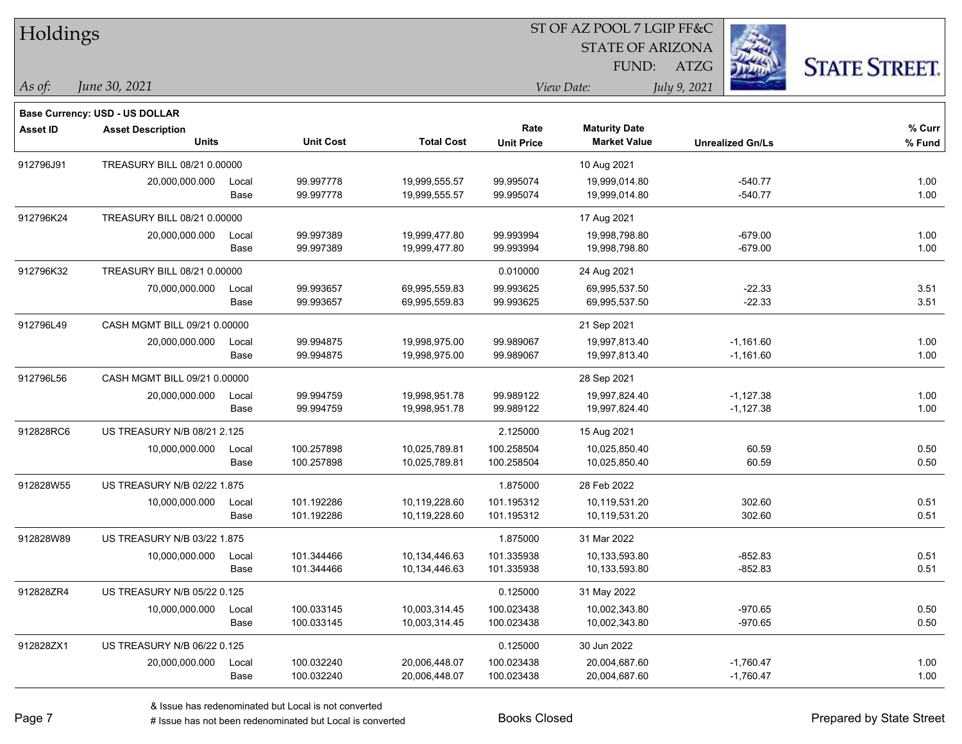| Holdings        |                                       |       |                  |                   |                   | ST OF AZ POOL 7 LGIP FF&C |                         |             |                      |
|-----------------|---------------------------------------|-------|------------------|-------------------|-------------------|---------------------------|-------------------------|-------------|----------------------|
|                 |                                       |       |                  |                   |                   | <b>STATE OF ARIZONA</b>   |                         |             |                      |
|                 |                                       |       |                  |                   |                   | FUND:                     | <b>ATZG</b>             |             | <b>STATE STREET.</b> |
| As of:          | June 30, 2021                         |       |                  |                   |                   | View Date:                | July 9, 2021            |             |                      |
|                 | <b>Base Currency: USD - US DOLLAR</b> |       |                  |                   |                   |                           |                         |             |                      |
| <b>Asset ID</b> | <b>Asset Description</b>              |       |                  |                   | Rate              | <b>Maturity Date</b>      |                         |             | % Curr               |
|                 | <b>Units</b>                          |       | <b>Unit Cost</b> | <b>Total Cost</b> | <b>Unit Price</b> | <b>Market Value</b>       | <b>Unrealized Gn/Ls</b> |             | % Fund               |
| 912796J91       | TREASURY BILL 08/21 0.00000           |       |                  |                   |                   | 10 Aug 2021               |                         |             |                      |
|                 | 20,000,000.000                        | Local | 99.997778        | 19,999,555.57     | 99.995074         | 19,999,014.80             |                         | -540.77     | 1.00                 |
|                 |                                       | Base  | 99.997778        | 19,999,555.57     | 99.995074         | 19,999,014.80             |                         | $-540.77$   | 1.00                 |
| 912796K24       | TREASURY BILL 08/21 0.00000           |       |                  |                   |                   | 17 Aug 2021               |                         |             |                      |
|                 | 20,000,000.000                        | Local | 99.997389        | 19,999,477.80     | 99.993994         | 19,998,798.80             |                         | -679.00     | 1.00                 |
|                 |                                       | Base  | 99.997389        | 19,999,477.80     | 99.993994         | 19,998,798.80             |                         | $-679.00$   | 1.00                 |
| 912796K32       | TREASURY BILL 08/21 0.00000           |       |                  |                   | 0.010000          | 24 Aug 2021               |                         |             |                      |
|                 | 70,000,000.000                        | Local | 99.993657        | 69,995,559.83     | 99.993625         | 69,995,537.50             |                         | $-22.33$    | 3.51                 |
|                 |                                       | Base  | 99.993657        | 69,995,559.83     | 99.993625         | 69,995,537.50             |                         | $-22.33$    | 3.51                 |
| 912796L49       | CASH MGMT BILL 09/21 0.00000          |       |                  |                   |                   | 21 Sep 2021               |                         |             |                      |
|                 | 20,000,000.000                        | Local | 99.994875        | 19,998,975.00     | 99.989067         | 19,997,813.40             |                         | $-1,161.60$ | 1.00                 |
|                 |                                       | Base  | 99.994875        | 19,998,975.00     | 99.989067         | 19,997,813.40             |                         | $-1,161.60$ | 1.00                 |
| 912796L56       | CASH MGMT BILL 09/21 0.00000          |       |                  |                   |                   | 28 Sep 2021               |                         |             |                      |
|                 | 20,000,000.000                        | Local | 99.994759        | 19,998,951.78     | 99.989122         | 19,997,824.40             |                         | $-1,127.38$ | 1.00                 |
|                 |                                       | Base  | 99.994759        | 19,998,951.78     | 99.989122         | 19,997,824.40             |                         | $-1,127.38$ | 1.00                 |
| 912828RC6       | US TREASURY N/B 08/21 2.125           |       |                  |                   | 2.125000          | 15 Aug 2021               |                         |             |                      |
|                 | 10,000,000.000                        | Local | 100.257898       | 10,025,789.81     | 100.258504        | 10,025,850.40             |                         | 60.59       | 0.50                 |
|                 |                                       | Base  | 100.257898       | 10,025,789.81     | 100.258504        | 10,025,850.40             |                         | 60.59       | 0.50                 |
| 912828W55       | US TREASURY N/B 02/22 1.875           |       |                  |                   | 1.875000          | 28 Feb 2022               |                         |             |                      |
|                 | 10,000,000.000                        | Local | 101.192286       | 10,119,228.60     | 101.195312        | 10,119,531.20             |                         | 302.60      | 0.51                 |
|                 |                                       | Base  | 101.192286       | 10,119,228.60     | 101.195312        | 10,119,531.20             |                         | 302.60      | 0.51                 |
| 912828W89       | US TREASURY N/B 03/22 1.875           |       |                  |                   | 1.875000          | 31 Mar 2022               |                         |             |                      |
|                 | 10,000,000.000                        | Local | 101.344466       | 10,134,446.63     | 101.335938        | 10,133,593.80             |                         | -852.83     | 0.51                 |
|                 |                                       | Base  | 101.344466       | 10,134,446.63     | 101.335938        | 10,133,593.80             |                         | $-852.83$   | 0.51                 |
| 912828ZR4       | US TREASURY N/B 05/22 0.125           |       |                  |                   | 0.125000          | 31 May 2022               |                         |             |                      |
|                 | 10,000,000.000                        | Local | 100.033145       | 10,003,314.45     | 100.023438        | 10,002,343.80             |                         | $-970.65$   | 0.50                 |
|                 |                                       | Base  | 100.033145       | 10,003,314.45     | 100.023438        | 10,002,343.80             |                         | $-970.65$   | 0.50                 |
| 912828ZX1       | US TREASURY N/B 06/22 0.125           |       |                  |                   | 0.125000          | 30 Jun 2022               |                         |             |                      |
|                 | 20,000,000.000                        | Local | 100.032240       | 20,006,448.07     | 100.023438        | 20,004,687.60             |                         | $-1,760.47$ | 1.00                 |
|                 |                                       | Base  | 100.032240       | 20,006,448.07     | 100.023438        | 20,004,687.60             |                         | $-1,760.47$ | 1.00                 |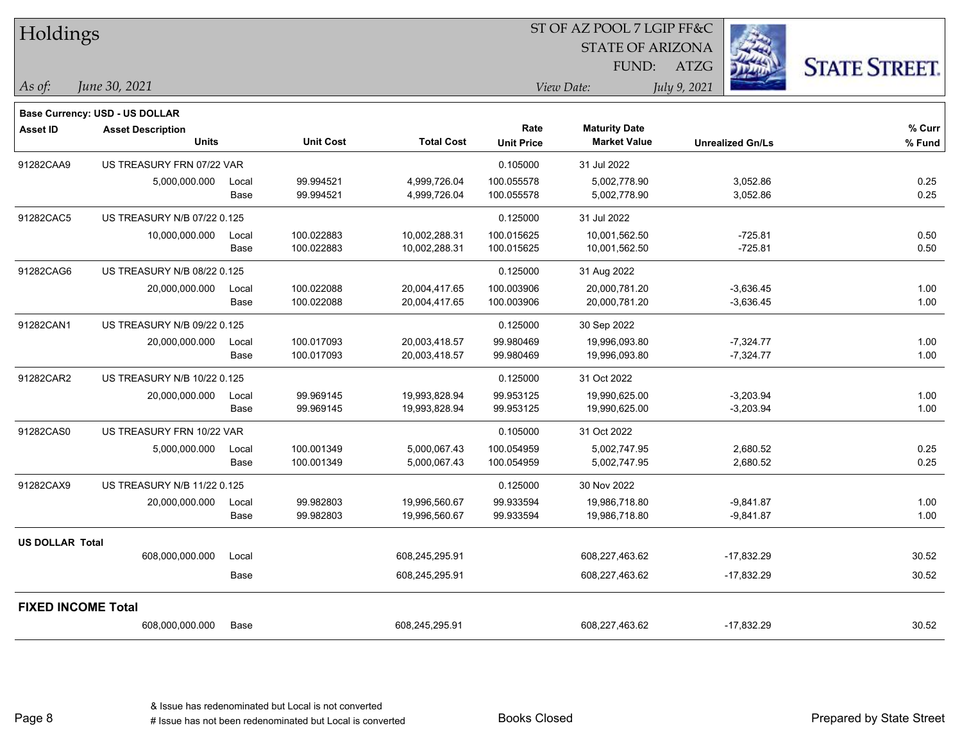| Holdings                  |                                       |       |                  |                   |                   | 51 OF AZ POOL 7 LGIP FF&C |                         |                      |
|---------------------------|---------------------------------------|-------|------------------|-------------------|-------------------|---------------------------|-------------------------|----------------------|
|                           |                                       |       |                  |                   |                   | <b>STATE OF ARIZONA</b>   |                         |                      |
|                           |                                       |       |                  |                   |                   | FUND:                     | ATZG                    | <b>STATE STREET.</b> |
| As of:                    | June 30, 2021                         |       |                  |                   |                   | View Date:                | July 9, 2021            |                      |
|                           |                                       |       |                  |                   |                   |                           |                         |                      |
|                           | <b>Base Currency: USD - US DOLLAR</b> |       |                  |                   |                   |                           |                         |                      |
| Asset ID                  | <b>Asset Description</b>              |       |                  |                   | Rate              | <b>Maturity Date</b>      |                         | % Curr               |
|                           | <b>Units</b>                          |       | <b>Unit Cost</b> | <b>Total Cost</b> | <b>Unit Price</b> | <b>Market Value</b>       | <b>Unrealized Gn/Ls</b> | % Fund               |
| 91282CAA9                 | US TREASURY FRN 07/22 VAR             |       |                  |                   | 0.105000          | 31 Jul 2022               |                         |                      |
|                           | 5,000,000.000                         | Local | 99.994521        | 4,999,726.04      | 100.055578        | 5,002,778.90              | 3,052.86                | 0.25                 |
|                           |                                       | Base  | 99.994521        | 4,999,726.04      | 100.055578        | 5,002,778.90              | 3,052.86                | 0.25                 |
| 91282CAC5                 | US TREASURY N/B 07/22 0.125           |       |                  |                   | 0.125000          | 31 Jul 2022               |                         |                      |
|                           | 10,000,000.000                        | Local | 100.022883       | 10,002,288.31     | 100.015625        | 10,001,562.50             | $-725.81$               | 0.50                 |
|                           |                                       | Base  | 100.022883       | 10,002,288.31     | 100.015625        | 10,001,562.50             | $-725.81$               | 0.50                 |
| 91282CAG6                 | US TREASURY N/B 08/22 0.125           |       |                  |                   | 0.125000          | 31 Aug 2022               |                         |                      |
|                           | 20,000,000.000                        | Local | 100.022088       | 20,004,417.65     | 100.003906        | 20,000,781.20             | $-3,636.45$             | 1.00                 |
|                           |                                       | Base  | 100.022088       | 20,004,417.65     | 100.003906        | 20,000,781.20             | $-3,636.45$             | 1.00                 |
| 91282CAN1                 | US TREASURY N/B 09/22 0.125           |       |                  |                   | 0.125000          | 30 Sep 2022               |                         |                      |
|                           | 20,000,000.000                        | Local | 100.017093       | 20,003,418.57     | 99.980469         | 19,996,093.80             | $-7,324.77$             | 1.00                 |
|                           |                                       | Base  | 100.017093       | 20,003,418.57     | 99.980469         | 19,996,093.80             | $-7,324.77$             | 1.00                 |
| 91282CAR2                 | US TREASURY N/B 10/22 0.125           |       |                  |                   | 0.125000          | 31 Oct 2022               |                         |                      |
|                           | 20,000,000.000                        | Local | 99.969145        | 19,993,828.94     | 99.953125         | 19,990,625.00             | $-3,203.94$             | 1.00                 |
|                           |                                       | Base  | 99.969145        | 19,993,828.94     | 99.953125         | 19,990,625.00             | $-3,203.94$             | 1.00                 |
| 91282CAS0                 | US TREASURY FRN 10/22 VAR             |       |                  |                   | 0.105000          | 31 Oct 2022               |                         |                      |
|                           | 5,000,000.000                         | Local | 100.001349       | 5,000,067.43      | 100.054959        | 5,002,747.95              | 2,680.52                | 0.25                 |
|                           |                                       | Base  | 100.001349       | 5,000,067.43      | 100.054959        | 5,002,747.95              | 2,680.52                | 0.25                 |
| 91282CAX9                 | US TREASURY N/B 11/22 0.125           |       |                  |                   | 0.125000          | 30 Nov 2022               |                         |                      |
|                           | 20,000,000.000                        | Local | 99.982803        | 19,996,560.67     | 99.933594         | 19,986,718.80             | $-9,841.87$             | 1.00                 |
|                           |                                       | Base  | 99.982803        | 19,996,560.67     | 99.933594         | 19,986,718.80             | $-9,841.87$             | 1.00                 |
| <b>US DOLLAR Total</b>    |                                       |       |                  |                   |                   |                           |                         |                      |
|                           | 608,000,000.000                       | Local |                  | 608,245,295.91    |                   | 608,227,463.62            | $-17,832.29$            | 30.52                |
|                           |                                       | Base  |                  | 608,245,295.91    |                   | 608,227,463.62            | $-17,832.29$            | 30.52                |
| <b>FIXED INCOME Total</b> |                                       |       |                  |                   |                   |                           |                         |                      |
|                           | 608,000,000.000                       | Base  |                  | 608,245,295.91    |                   | 608,227,463.62            | $-17,832.29$            | 30.52                |
|                           |                                       |       |                  |                   |                   |                           |                         |                      |

 $ST$  OF A Z POOL 7 LCIP FF&C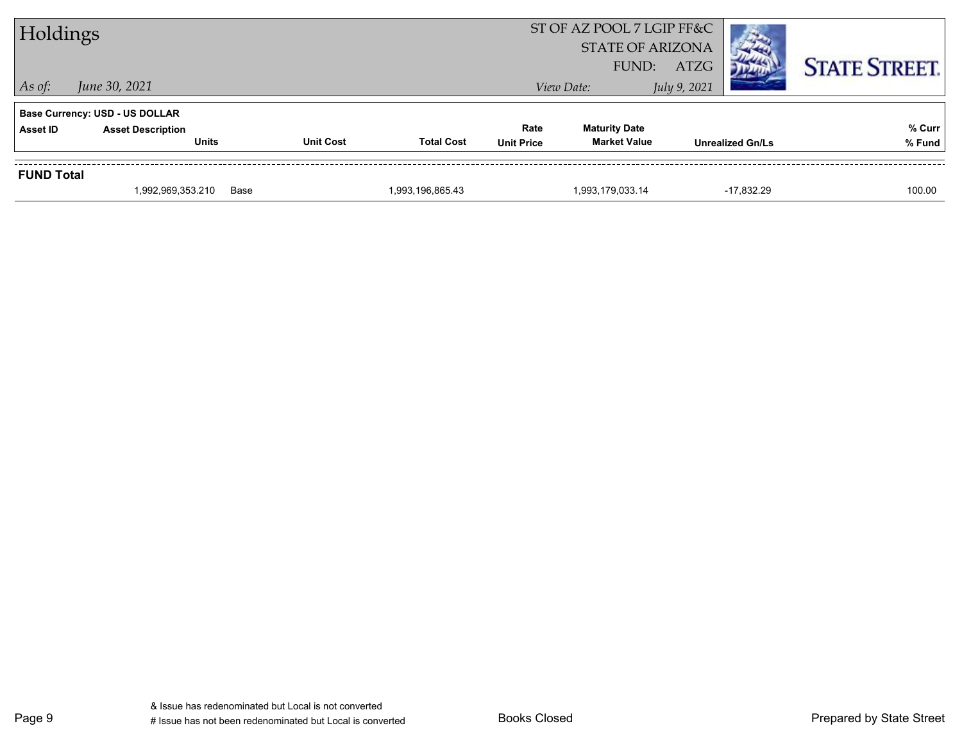| Holdings          |                                          |                  |                   | ST OF AZ POOL 7 LGIP FF&C<br><b>STATE OF ARIZONA</b><br>FUND: | ATZG                                        |              | <b>STATE STREET.</b>    |                  |
|-------------------|------------------------------------------|------------------|-------------------|---------------------------------------------------------------|---------------------------------------------|--------------|-------------------------|------------------|
| $\vert$ As of:    | June 30, 2021                            |                  |                   |                                                               | View Date:                                  | July 9, 2021 |                         |                  |
|                   | <b>Base Currency: USD - US DOLLAR</b>    |                  |                   |                                                               |                                             |              |                         |                  |
| Asset ID          | <b>Asset Description</b><br><b>Units</b> | <b>Unit Cost</b> | <b>Total Cost</b> | Rate<br><b>Unit Price</b>                                     | <b>Maturity Date</b><br><b>Market Value</b> |              | <b>Unrealized Gn/Ls</b> | % Curr<br>% Fund |
|                   |                                          |                  |                   |                                                               |                                             |              |                         |                  |
| <b>FUND Total</b> |                                          |                  |                   |                                                               |                                             |              |                         |                  |
|                   | 1,992,969,353.210                        | Base             | 1,993,196,865.43  |                                                               | 1,993,179,033.14                            |              | $-17.832.29$            | 100.00           |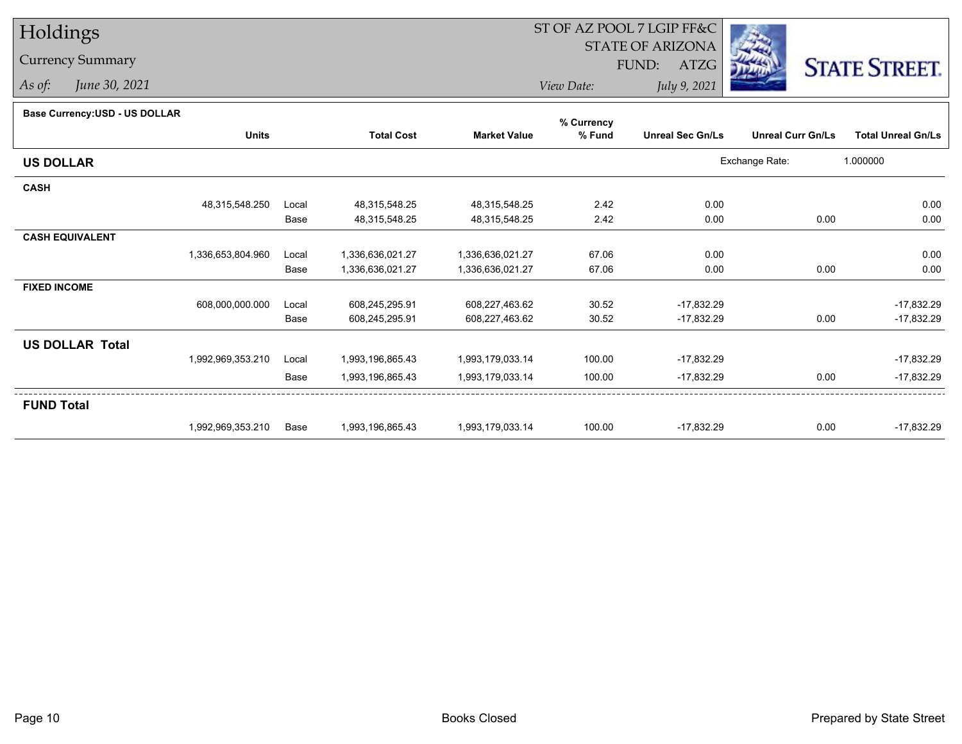## Holdings

## Currency Summary

*As of: June 30, 2021*

## ST OF AZ POOL 7 LGIP FF&C

STATE OF ARIZONA

FUND: ATZG



*View Date:July 9, 2021*

|  | Base Currency: USD - US DOLLAR |
|--|--------------------------------|
|  |                                |

| Dase Currency: USD - US DULLAR |                   |       |                   |                     | % Currency |                         |                          |                           |
|--------------------------------|-------------------|-------|-------------------|---------------------|------------|-------------------------|--------------------------|---------------------------|
|                                | <b>Units</b>      |       | <b>Total Cost</b> | <b>Market Value</b> | % Fund     | <b>Unreal Sec Gn/Ls</b> | <b>Unreal Curr Gn/Ls</b> | <b>Total Unreal Gn/Ls</b> |
| <b>US DOLLAR</b>               |                   |       |                   |                     |            |                         | Exchange Rate:           | 1.000000                  |
| <b>CASH</b>                    |                   |       |                   |                     |            |                         |                          |                           |
|                                | 48,315,548.250    | Local | 48,315,548.25     | 48,315,548.25       | 2.42       | 0.00                    |                          | 0.00                      |
|                                |                   | Base  | 48,315,548.25     | 48,315,548.25       | 2.42       | 0.00                    | 0.00                     | 0.00                      |
| <b>CASH EQUIVALENT</b>         |                   |       |                   |                     |            |                         |                          |                           |
|                                | 1,336,653,804.960 | Local | 1,336,636,021.27  | 1,336,636,021.27    | 67.06      | 0.00                    |                          | 0.00                      |
|                                |                   | Base  | 1,336,636,021.27  | 1,336,636,021.27    | 67.06      | 0.00                    | 0.00                     | 0.00                      |
| <b>FIXED INCOME</b>            |                   |       |                   |                     |            |                         |                          |                           |
|                                | 608,000,000.000   | Local | 608,245,295.91    | 608,227,463.62      | 30.52      | $-17,832.29$            |                          | $-17,832.29$              |
|                                |                   | Base  | 608,245,295.91    | 608,227,463.62      | 30.52      | $-17,832.29$            | 0.00                     | $-17,832.29$              |
| <b>US DOLLAR Total</b>         |                   |       |                   |                     |            |                         |                          |                           |
|                                | 1,992,969,353.210 | Local | 1,993,196,865.43  | 1,993,179,033.14    | 100.00     | $-17,832.29$            |                          | $-17,832.29$              |
|                                |                   | Base  | 1,993,196,865.43  | 1,993,179,033.14    | 100.00     | $-17,832.29$            | 0.00                     | $-17,832.29$              |
| <b>FUND Total</b>              |                   |       |                   |                     |            |                         |                          |                           |
|                                | 1,992,969,353.210 | Base  | 1,993,196,865.43  | 1,993,179,033.14    | 100.00     | $-17,832.29$            | 0.00                     | -17,832.29                |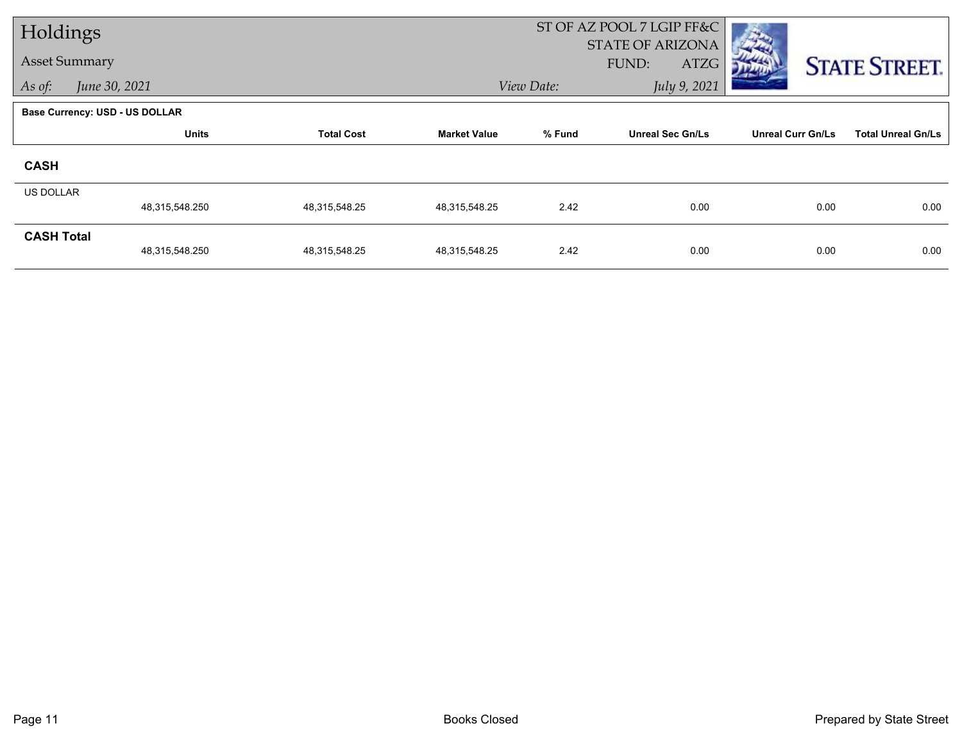| Holdings             |                                       |                   |                     |            | ST OF AZ POOL 7 LGIP FF&C<br><b>STATE OF ARIZONA</b> |                          |                           |
|----------------------|---------------------------------------|-------------------|---------------------|------------|------------------------------------------------------|--------------------------|---------------------------|
| <b>Asset Summary</b> |                                       |                   |                     |            | FUND:<br>ATZG                                        |                          | <b>STATE STREET.</b>      |
| As of:               | June 30, 2021                         |                   |                     | View Date: | July 9, 2021                                         |                          |                           |
|                      | <b>Base Currency: USD - US DOLLAR</b> |                   |                     |            |                                                      |                          |                           |
|                      | <b>Units</b>                          | <b>Total Cost</b> | <b>Market Value</b> | % Fund     | <b>Unreal Sec Gn/Ls</b>                              | <b>Unreal Curr Gn/Ls</b> | <b>Total Unreal Gn/Ls</b> |
| <b>CASH</b>          |                                       |                   |                     |            |                                                      |                          |                           |
| <b>US DOLLAR</b>     | 48,315,548.250                        | 48,315,548.25     | 48,315,548.25       | 2.42       | 0.00                                                 | 0.00                     | 0.00                      |
| <b>CASH Total</b>    | 48,315,548.250                        | 48,315,548.25     | 48,315,548.25       | 2.42       | 0.00                                                 | 0.00                     | 0.00                      |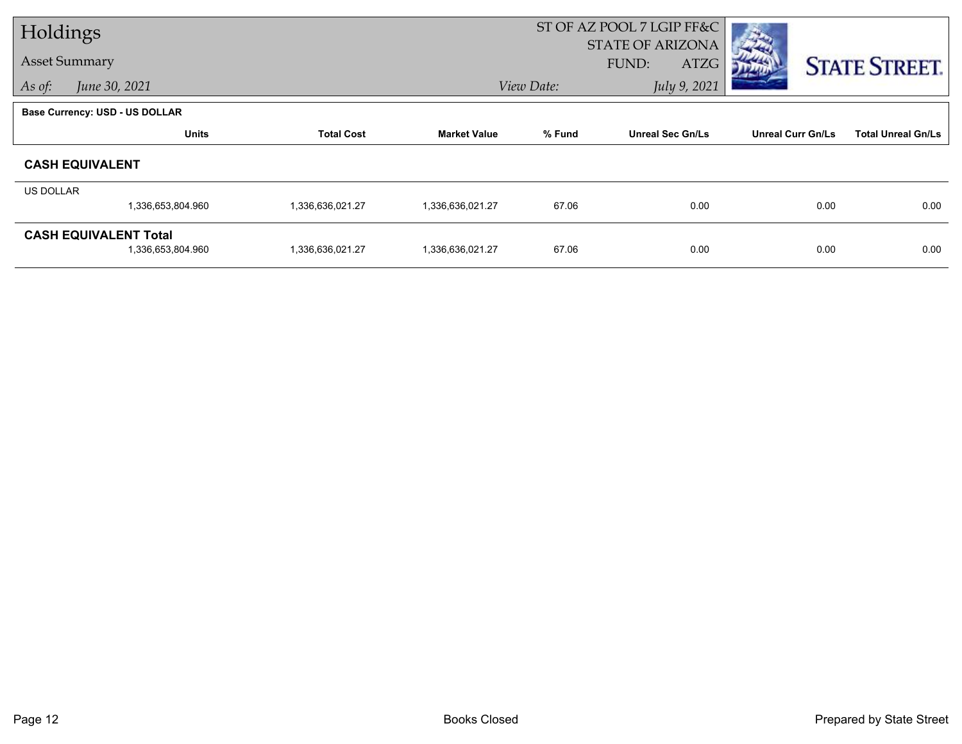| Holdings  |                                                   |                   |                     | ST OF AZ POOL 7 LGIP FF&C |                                          |                          |                           |
|-----------|---------------------------------------------------|-------------------|---------------------|---------------------------|------------------------------------------|--------------------------|---------------------------|
|           | <b>Asset Summary</b>                              |                   |                     |                           | <b>STATE OF ARIZONA</b><br>FUND:<br>ATZG |                          | <b>STATE STREET.</b>      |
| As of:    | June 30, 2021                                     |                   |                     | View Date:                | July 9, 2021                             |                          |                           |
|           | <b>Base Currency: USD - US DOLLAR</b>             |                   |                     |                           |                                          |                          |                           |
|           | <b>Units</b>                                      | <b>Total Cost</b> | <b>Market Value</b> | % Fund                    | <b>Unreal Sec Gn/Ls</b>                  | <b>Unreal Curr Gn/Ls</b> | <b>Total Unreal Gn/Ls</b> |
|           | <b>CASH EQUIVALENT</b>                            |                   |                     |                           |                                          |                          |                           |
| US DOLLAR |                                                   |                   |                     |                           |                                          |                          |                           |
|           | 1,336,653,804.960                                 | 1,336,636,021.27  | 1,336,636,021.27    | 67.06                     | 0.00                                     | 0.00                     | 0.00                      |
|           | <b>CASH EQUIVALENT Total</b><br>1,336,653,804.960 | 1,336,636,021.27  | 1,336,636,021.27    | 67.06                     | 0.00                                     | 0.00                     | 0.00                      |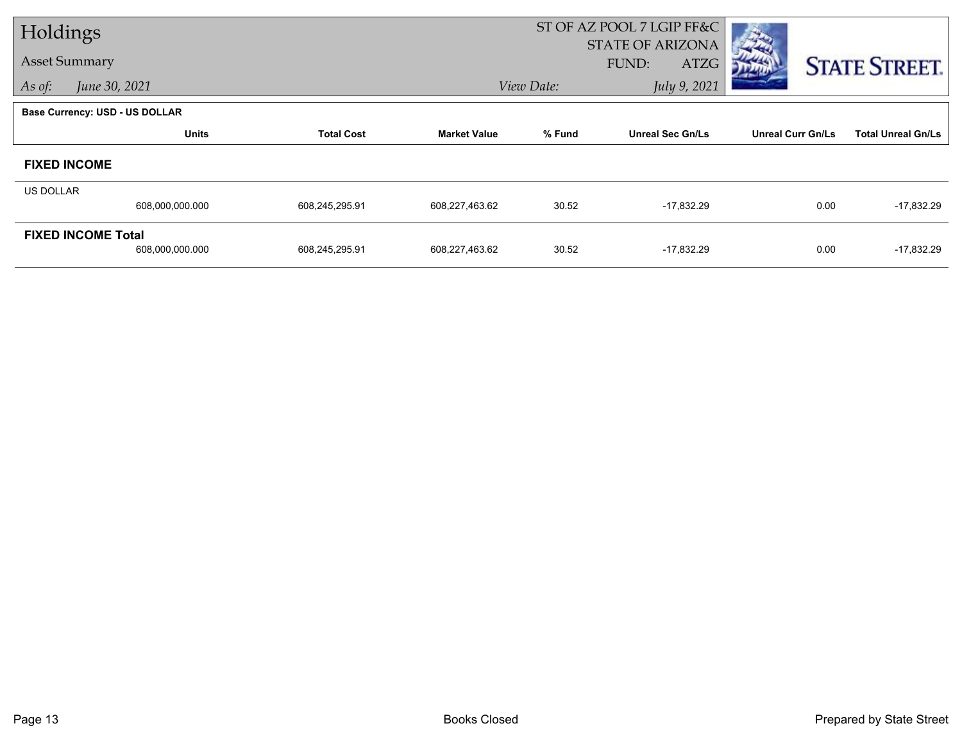| Holdings             |                                       |                   |                     | ST OF AZ POOL 7 LGIP FF&C<br><b>STATE OF ARIZONA</b> |                         |                          |                           |  |
|----------------------|---------------------------------------|-------------------|---------------------|------------------------------------------------------|-------------------------|--------------------------|---------------------------|--|
| <b>Asset Summary</b> |                                       |                   |                     |                                                      | <b>ATZG</b><br>FUND:    |                          | <b>STATE STREET.</b>      |  |
| As of:               | June 30, 2021                         |                   |                     | View Date:                                           | July 9, 2021            |                          |                           |  |
|                      | <b>Base Currency: USD - US DOLLAR</b> |                   |                     |                                                      |                         |                          |                           |  |
|                      | <b>Units</b>                          | <b>Total Cost</b> | <b>Market Value</b> | % Fund                                               | <b>Unreal Sec Gn/Ls</b> | <b>Unreal Curr Gn/Ls</b> | <b>Total Unreal Gn/Ls</b> |  |
| <b>FIXED INCOME</b>  |                                       |                   |                     |                                                      |                         |                          |                           |  |
| <b>US DOLLAR</b>     |                                       |                   |                     |                                                      |                         |                          |                           |  |
|                      | 608,000,000.000                       | 608,245,295.91    | 608,227,463.62      | 30.52                                                | $-17,832.29$            | 0.00                     | $-17,832.29$              |  |
|                      | <b>FIXED INCOME Total</b>             |                   |                     |                                                      |                         |                          |                           |  |
|                      | 608,000,000.000                       | 608,245,295.91    | 608,227,463.62      | 30.52                                                | $-17,832.29$            | 0.00                     | $-17,832.29$              |  |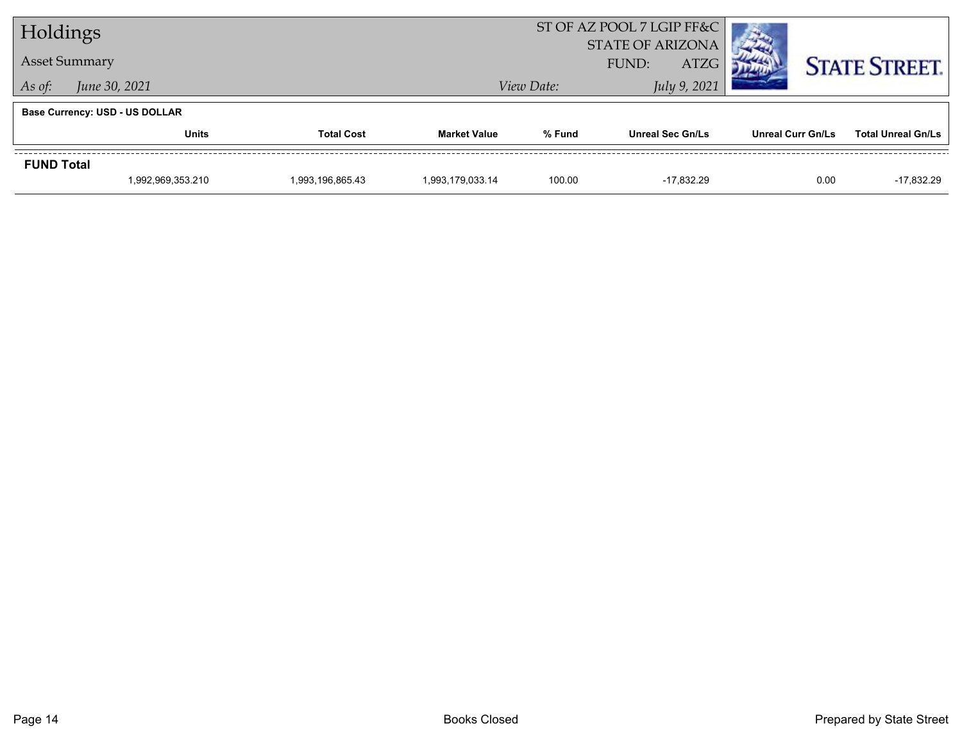| Holdings                |                                       |                  |                     | ST OF AZ POOL 7 LGIP FF&C<br><b>STATE OF ARIZONA</b> |                         |                   |                           |
|-------------------------|---------------------------------------|------------------|---------------------|------------------------------------------------------|-------------------------|-------------------|---------------------------|
|                         | <b>Asset Summary</b>                  |                  |                     |                                                      | <b>ATZG</b><br>FUND:    |                   | <b>STATE STREET.</b>      |
| June 30, 2021<br>As of: |                                       |                  |                     | View Date:                                           | July 9, 2021            |                   |                           |
|                         | <b>Base Currency: USD - US DOLLAR</b> |                  |                     |                                                      |                         |                   |                           |
|                         | <b>Units</b><br><b>Total Cost</b>     |                  | <b>Market Value</b> | % Fund                                               | <b>Unreal Sec Gn/Ls</b> | Unreal Curr Gn/Ls | <b>Total Unreal Gn/Ls</b> |
| <b>FUND Total</b>       |                                       |                  |                     |                                                      |                         |                   |                           |
|                         | 1,992,969,353.210                     | 1,993,196,865.43 | 1,993,179,033.14    | 100.00                                               | -17.832.29              | 0.00              | $-17,832.29$              |